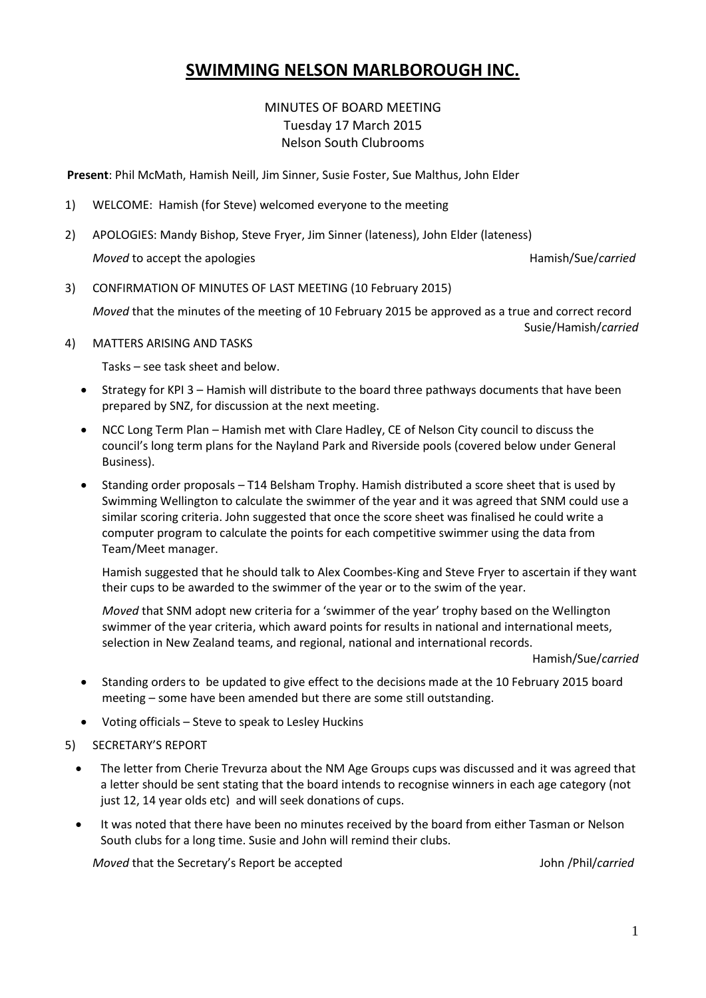# **SWIMMING NELSON MARLBOROUGH INC.**

# MINUTES OF BOARD MEETING Tuesday 17 March 2015 Nelson South Clubrooms

**Present**: Phil McMath, Hamish Neill, Jim Sinner, Susie Foster, Sue Malthus, John Elder

- 1) WELCOME: Hamish (for Steve) welcomed everyone to the meeting
- 2) APOLOGIES: Mandy Bishop, Steve Fryer, Jim Sinner (lateness), John Elder (lateness) *Moved* to accept the apologies **Hamish/Sue/carried Hamish/Sue/carried**

3) CONFIRMATION OF MINUTES OF LAST MEETING (10 February 2015)

*Moved* that the minutes of the meeting of 10 February 2015 be approved as a true and correct record

Susie/Hamish/*carried*

4) MATTERS ARISING AND TASKS

Tasks – see task sheet and below.

- Strategy for KPI 3 Hamish will distribute to the board three pathways documents that have been prepared by SNZ, for discussion at the next meeting.
- NCC Long Term Plan Hamish met with Clare Hadley, CE of Nelson City council to discuss the council's long term plans for the Nayland Park and Riverside pools (covered below under General Business).
- Standing order proposals T14 Belsham Trophy. Hamish distributed a score sheet that is used by Swimming Wellington to calculate the swimmer of the year and it was agreed that SNM could use a similar scoring criteria. John suggested that once the score sheet was finalised he could write a computer program to calculate the points for each competitive swimmer using the data from Team/Meet manager.

Hamish suggested that he should talk to Alex Coombes-King and Steve Fryer to ascertain if they want their cups to be awarded to the swimmer of the year or to the swim of the year.

*Moved* that SNM adopt new criteria for a 'swimmer of the year' trophy based on the Wellington swimmer of the year criteria, which award points for results in national and international meets, selection in New Zealand teams, and regional, national and international records.

Hamish/Sue/*carried*

- Standing orders to be updated to give effect to the decisions made at the 10 February 2015 board meeting – some have been amended but there are some still outstanding.
- Voting officials Steve to speak to Lesley Huckins
- 5) SECRETARY'S REPORT
	- The letter from Cherie Trevurza about the NM Age Groups cups was discussed and it was agreed that a letter should be sent stating that the board intends to recognise winners in each age category (not just 12, 14 year olds etc) and will seek donations of cups.
	- It was noted that there have been no minutes received by the board from either Tasman or Nelson South clubs for a long time. Susie and John will remind their clubs.

*Moved* that the Secretary's Report be accepted John /Phil/*carried*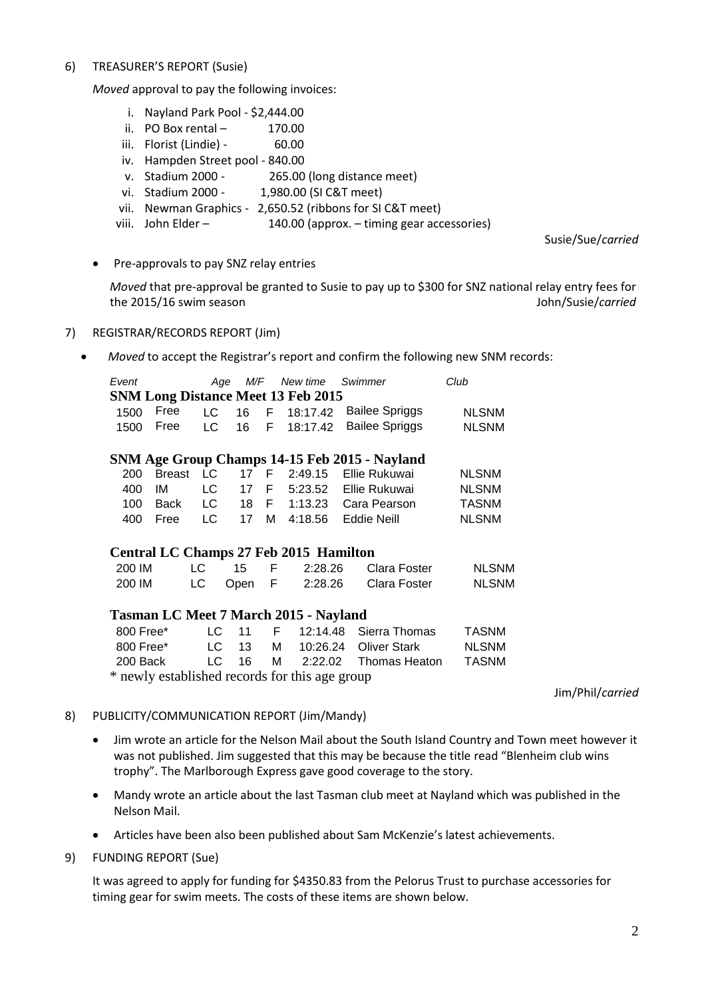#### 6) TREASURER'S REPORT (Susie)

*Moved* approval to pay the following invoices:

- i. Nayland Park Pool \$2,444.00
- ii. PO Box rental  $-$  170.00
- iii. Florist (Lindie) 60.00
- iv. Hampden Street pool 840.00
- v. Stadium 2000 265.00 (long distance meet)
- vi. Stadium 2000 1,980.00 (SI C&T meet)
- vii. Newman Graphics 2,650.52 (ribbons for SI C&T meet)
- viii. John Elder 140.00 (approx. timing gear accessories)

Susie/Sue/*carried*

• Pre-approvals to pay SNZ relay entries

*Moved* that pre-approval be granted to Susie to pay up to \$300 for SNZ national relay entry fees for the 2015/16 swim season John/Susie/*carried*

#### 7) REGISTRAR/RECORDS REPORT (Jim)

 *Moved* to accept the Registrar's report and confirm the following new SNM records:

| Event |           |  | Age M/F New time Swimmer                  |                                           | Club         |
|-------|-----------|--|-------------------------------------------|-------------------------------------------|--------------|
|       |           |  | <b>SNM Long Distance Meet 13 Feb 2015</b> |                                           |              |
|       |           |  |                                           | 1500 Free LC 16 F 18:17.42 Bailee Spriggs | <b>NLSNM</b> |
|       | 1500 Free |  |                                           | LC 16 F 18:17.42 Bailee Spriggs           | <b>NLSNM</b> |

#### **SNM Age Group Champs 14-15 Feb 2015 - Nayland**

|  |  |  | 200 Breast LC 17 F 2:49.15 Ellie Rukuwai | <b>NLSNM</b> |
|--|--|--|------------------------------------------|--------------|
|  |  |  | 400 IM LC 17 F 5:23.52 Ellie Rukuwai     | <b>NLSNM</b> |
|  |  |  | 100 Back LC 18 F 1:13.23 Cara Pearson    | TASNM        |
|  |  |  | 400 Free LC 17 M 4:18.56 Eddie Neill     | <b>NLSNM</b> |
|  |  |  |                                          |              |

### **Central LC Champs 27 Feb 2015 Hamilton**

| 200 IM | LC - | - 15      | 2:28.26 | Clara Foster | <b>NLSNM</b> |
|--------|------|-----------|---------|--------------|--------------|
| 200 IM |      | LC Open F | 2:28.26 | Clara Foster | <b>NLSNM</b> |

### **Tasman LC Meet 7 March 2015 - Nayland**

| 800 Free*                                      |  |  |  |  | LC 11 F 12:14.48 Sierra Thomas         | <b>TASNM</b> |  |  |
|------------------------------------------------|--|--|--|--|----------------------------------------|--------------|--|--|
| 800 Free*                                      |  |  |  |  | LC 13 M 10:26.24 Oliver Stark          | <b>NLSNM</b> |  |  |
|                                                |  |  |  |  | 200 Back LC 16 M 2:22.02 Thomas Heaton | TASNM        |  |  |
| * newly established records for this age group |  |  |  |  |                                        |              |  |  |

Jim/Phil/*carried*

#### 8) PUBLICITY/COMMUNICATION REPORT (Jim/Mandy)

- Jim wrote an article for the Nelson Mail about the South Island Country and Town meet however it was not published. Jim suggested that this may be because the title read "Blenheim club wins trophy". The Marlborough Express gave good coverage to the story.
- Mandy wrote an article about the last Tasman club meet at Nayland which was published in the Nelson Mail.
- Articles have been also been published about Sam McKenzie's latest achievements.

### 9) FUNDING REPORT (Sue)

It was agreed to apply for funding for \$4350.83 from the Pelorus Trust to purchase accessories for timing gear for swim meets. The costs of these items are shown below.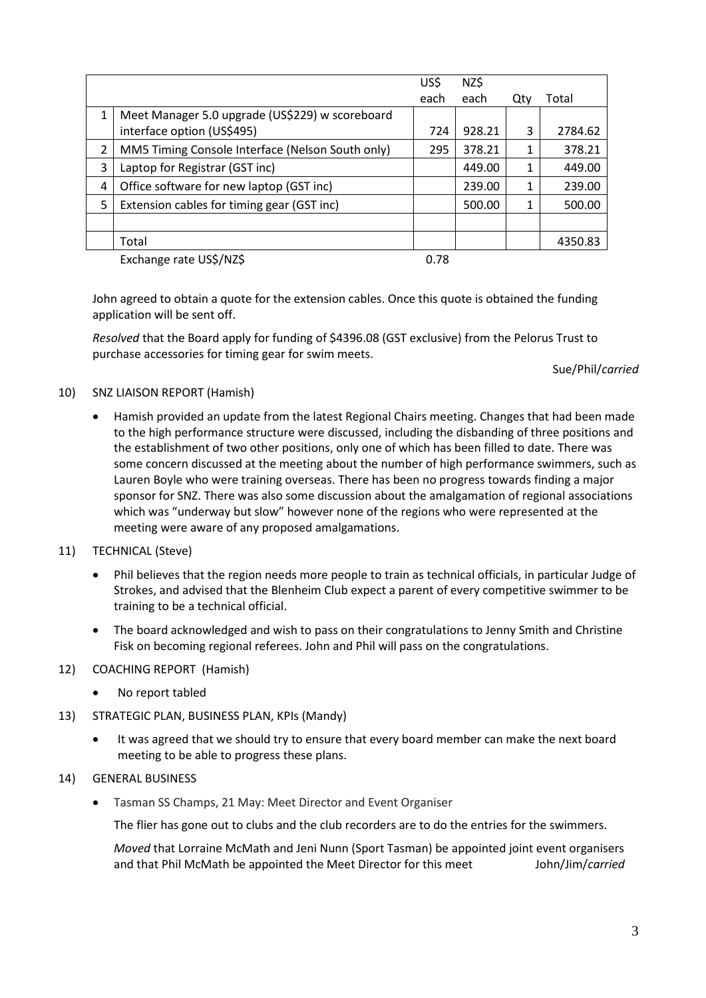|   |                                                                               | US\$ | NZ\$   |     |         |
|---|-------------------------------------------------------------------------------|------|--------|-----|---------|
|   |                                                                               | each | each   | Qty | Total   |
| 1 | Meet Manager 5.0 upgrade (US\$229) w scoreboard<br>interface option (US\$495) | 724  | 928.21 | 3   | 2784.62 |
| 2 | MM5 Timing Console Interface (Nelson South only)                              | 295  | 378.21 |     | 378.21  |
| 3 | Laptop for Registrar (GST inc)                                                |      | 449.00 |     | 449.00  |
| 4 | Office software for new laptop (GST inc)                                      |      | 239.00 | 1   | 239.00  |
| 5 | Extension cables for timing gear (GST inc)                                    |      | 500.00 |     | 500.00  |
|   |                                                                               |      |        |     |         |
|   | Total                                                                         |      |        |     | 4350.83 |
|   | Exchange rate US\$/NZ\$                                                       | 0.78 |        |     |         |

John agreed to obtain a quote for the extension cables. Once this quote is obtained the funding application will be sent off.

*Resolved* that the Board apply for funding of \$4396.08 (GST exclusive) from the Pelorus Trust to purchase accessories for timing gear for swim meets.

Sue/Phil/*carried*

## 10) SNZ LIAISON REPORT (Hamish)

 Hamish provided an update from the latest Regional Chairs meeting. Changes that had been made to the high performance structure were discussed, including the disbanding of three positions and the establishment of two other positions, only one of which has been filled to date. There was some concern discussed at the meeting about the number of high performance swimmers, such as Lauren Boyle who were training overseas. There has been no progress towards finding a major sponsor for SNZ. There was also some discussion about the amalgamation of regional associations which was "underway but slow" however none of the regions who were represented at the meeting were aware of any proposed amalgamations.

# 11) TECHNICAL (Steve)

- Phil believes that the region needs more people to train as technical officials, in particular Judge of Strokes, and advised that the Blenheim Club expect a parent of every competitive swimmer to be training to be a technical official.
- The board acknowledged and wish to pass on their congratulations to Jenny Smith and Christine Fisk on becoming regional referees. John and Phil will pass on the congratulations.

# 12) COACHING REPORT (Hamish)

- No report tabled
- 13) STRATEGIC PLAN, BUSINESS PLAN, KPIs (Mandy)
	- It was agreed that we should try to ensure that every board member can make the next board meeting to be able to progress these plans.

# 14) GENERAL BUSINESS

Tasman SS Champs, 21 May: Meet Director and Event Organiser

The flier has gone out to clubs and the club recorders are to do the entries for the swimmers.

*Moved* that Lorraine McMath and Jeni Nunn (Sport Tasman) be appointed joint event organisers and that Phil McMath be appointed the Meet Director for this meet John/Jim/*carried*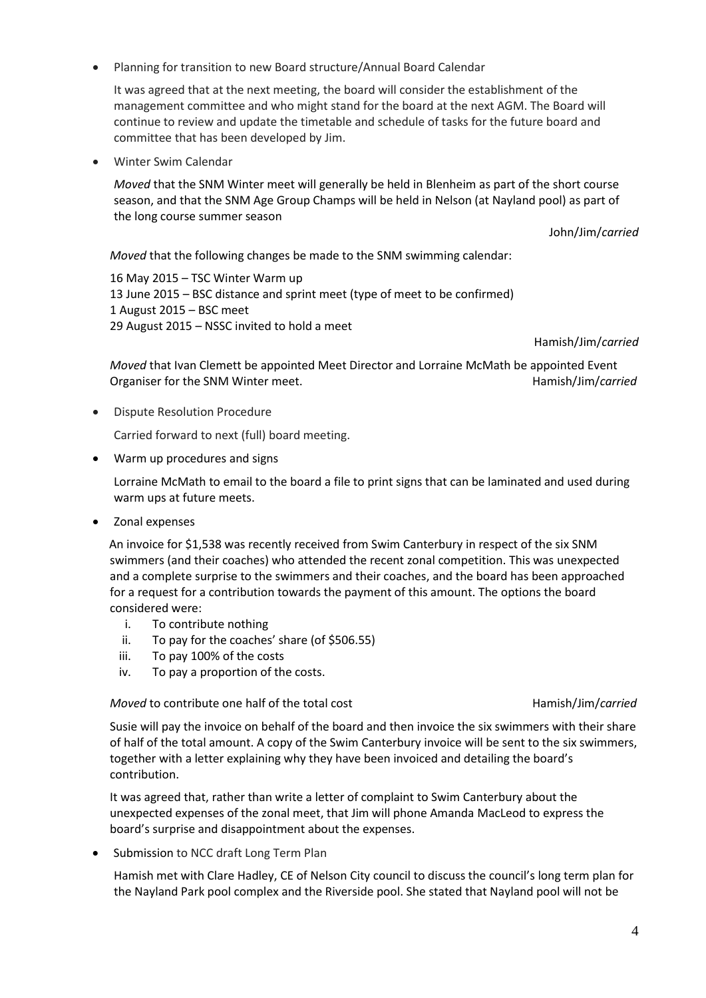Planning for transition to new Board structure/Annual Board Calendar

It was agreed that at the next meeting, the board will consider the establishment of the management committee and who might stand for the board at the next AGM. The Board will continue to review and update the timetable and schedule of tasks for the future board and committee that has been developed by Jim.

Winter Swim Calendar

*Moved* that the SNM Winter meet will generally be held in Blenheim as part of the short course season, and that the SNM Age Group Champs will be held in Nelson (at Nayland pool) as part of the long course summer season

John/Jim/*carried*

*Moved* that the following changes be made to the SNM swimming calendar:

16 May 2015 – TSC Winter Warm up 13 June 2015 – BSC distance and sprint meet (type of meet to be confirmed) 1 August 2015 – BSC meet 29 August 2015 – NSSC invited to hold a meet

Hamish/Jim/*carried*

*Moved* that Ivan Clemett be appointed Meet Director and Lorraine McMath be appointed Event Organiser for the SNM Winter meet. **All and SNM Winter meet.** Hamish/Jim/*carried* 

Dispute Resolution Procedure

Carried forward to next (full) board meeting.

Warm up procedures and signs

Lorraine McMath to email to the board a file to print signs that can be laminated and used during warm ups at future meets.

Zonal expenses

An invoice for \$1,538 was recently received from Swim Canterbury in respect of the six SNM swimmers (and their coaches) who attended the recent zonal competition. This was unexpected and a complete surprise to the swimmers and their coaches, and the board has been approached for a request for a contribution towards the payment of this amount. The options the board considered were:

- i. To contribute nothing
- ii. To pay for the coaches' share (of \$506.55)
- iii. To pay 100% of the costs
- iv. To pay a proportion of the costs.

*Moved* to contribute one half of the total cost **Hamish/Jim/carried** 

Susie will pay the invoice on behalf of the board and then invoice the six swimmers with their share of half of the total amount. A copy of the Swim Canterbury invoice will be sent to the six swimmers, together with a letter explaining why they have been invoiced and detailing the board's contribution.

It was agreed that, rather than write a letter of complaint to Swim Canterbury about the unexpected expenses of the zonal meet, that Jim will phone Amanda MacLeod to express the board's surprise and disappointment about the expenses.

Submission to NCC draft Long Term Plan

Hamish met with Clare Hadley, CE of Nelson City council to discuss the council's long term plan for the Nayland Park pool complex and the Riverside pool. She stated that Nayland pool will not be